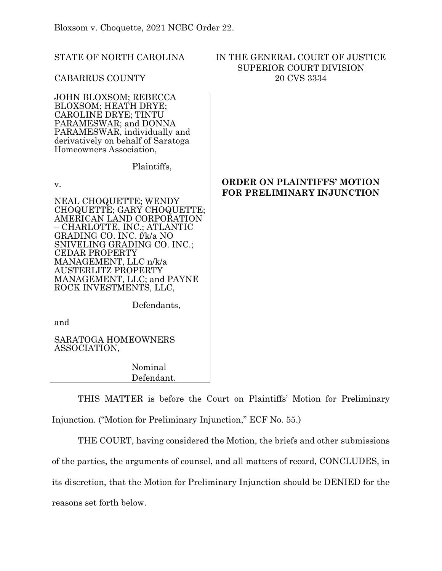STATE OF NORTH CAROLINA CABARRUS COUNTY IN THE GENERAL COURT OF JUSTICE SUPERIOR COURT DIVISION 20 CVS 3334 JOHN BLOXSOM; REBECCA BLOXSOM; HEATH DRYE; CAROLINE DRYE; TINTU PARAMESWAR; and DONNA PARAMESWAR, individually and derivatively on behalf of Saratoga

Plaintiffs,

v.

NEAL CHOQUETTE; WENDY CHOQUETTE; GARY CHOQUETTE; AMERICAN LAND CORPORATION – CHARLOTTE, INC.; ATLANTIC GRADING CO. INC. f/k/a NO SNIVELING GRADING CO. INC.; CEDAR PROPERTY MANAGEMENT, LLC n/k/a AUSTERLITZ PROPERTY MANAGEMENT, LLC; and PAYNE ROCK INVESTMENTS, LLC,

Homeowners Association,

# **ORDER ON PLAINTIFFS' MOTION FOR PRELIMINARY INJUNCTION**

Defendants,

and

SARATOGA HOMEOWNERS ASSOCIATION,

> Nominal Defendant.

THIS MATTER is before the Court on Plaintiffs' Motion for Preliminary Injunction. ("Motion for Preliminary Injunction," ECF No. 55.)

THE COURT, having considered the Motion, the briefs and other submissions of the parties, the arguments of counsel, and all matters of record, CONCLUDES, in its discretion, that the Motion for Preliminary Injunction should be DENIED for the reasons set forth below.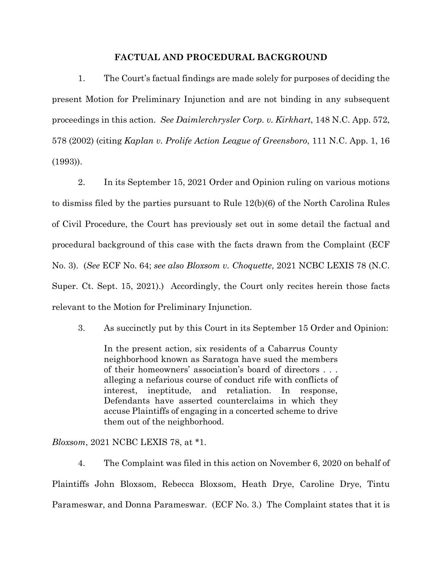## **FACTUAL AND PROCEDURAL BACKGROUND**

1. The Court's factual findings are made solely for purposes of deciding the present Motion for Preliminary Injunction and are not binding in any subsequent proceedings in this action. *See Daimlerchrysler Corp. v. Kirkhart*, 148 N.C. App. 572, 578 (2002) (citing *Kaplan v. Prolife Action League of Greensboro*, 111 N.C. App. 1, 16 (1993)).

2. In its September 15, 2021 Order and Opinion ruling on various motions to dismiss filed by the parties pursuant to Rule 12(b)(6) of the North Carolina Rules of Civil Procedure, the Court has previously set out in some detail the factual and procedural background of this case with the facts drawn from the Complaint (ECF No. 3). (*See* ECF No. 64; *see also Bloxsom v. Choquette*, 2021 NCBC LEXIS 78 (N.C. Super. Ct. Sept. 15, 2021).) Accordingly, the Court only recites herein those facts relevant to the Motion for Preliminary Injunction.

3. As succinctly put by this Court in its September 15 Order and Opinion:

In the present action, six residents of a Cabarrus County neighborhood known as Saratoga have sued the members of their homeowners' association's board of directors . . . alleging a nefarious course of conduct rife with conflicts of interest, ineptitude, and retaliation. In response, Defendants have asserted counterclaims in which they accuse Plaintiffs of engaging in a concerted scheme to drive them out of the neighborhood.

*Bloxsom*, 2021 NCBC LEXIS 78, at \*1.

4. The Complaint was filed in this action on November 6, 2020 on behalf of Plaintiffs John Bloxsom, Rebecca Bloxsom, Heath Drye, Caroline Drye, Tintu Parameswar, and Donna Parameswar. (ECF No. 3.) The Complaint states that it is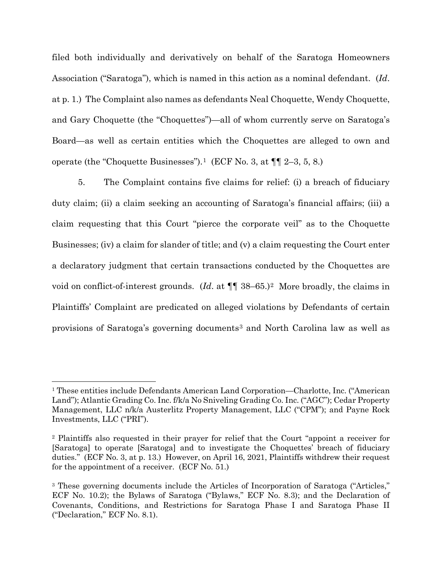filed both individually and derivatively on behalf of the Saratoga Homeowners Association ("Saratoga"), which is named in this action as a nominal defendant. (*Id*. at p. 1.) The Complaint also names as defendants Neal Choquette, Wendy Choquette, and Gary Choquette (the "Choquettes")—all of whom currently serve on Saratoga's Board—as well as certain entities which the Choquettes are alleged to own and operate (the "Choquette Businesses").<sup>1</sup> (ECF No. 3, at  $\P\P$  2–3, 5, 8.)

5. The Complaint contains five claims for relief: (i) a breach of fiduciary duty claim; (ii) a claim seeking an accounting of Saratoga's financial affairs; (iii) a claim requesting that this Court "pierce the corporate veil" as to the Choquette Businesses; (iv) a claim for slander of title; and (v) a claim requesting the Court enter a declaratory judgment that certain transactions conducted by the Choquettes are void on conflict-of-interest grounds. (*Id*. at ¶¶ 38–65.)[2](#page-2-1) More broadly, the claims in Plaintiffs' Complaint are predicated on alleged violations by Defendants of certain provisions of Saratoga's governing documents<sup>[3](#page-2-2)</sup> and North Carolina law as well as

<span id="page-2-0"></span><sup>1</sup> These entities include Defendants American Land Corporation—Charlotte, Inc. ("American Land"); Atlantic Grading Co. Inc. f/k/a No Sniveling Grading Co. Inc. ("AGC"); Cedar Property Management, LLC n/k/a Austerlitz Property Management, LLC ("CPM"); and Payne Rock Investments, LLC ("PRI").

<span id="page-2-1"></span><sup>2</sup> Plaintiffs also requested in their prayer for relief that the Court "appoint a receiver for [Saratoga] to operate [Saratoga] and to investigate the Choquettes' breach of fiduciary duties." (ECF No. 3, at p. 13.) However, on April 16, 2021, Plaintiffs withdrew their request for the appointment of a receiver. (ECF No. 51.)

<span id="page-2-2"></span><sup>3</sup> These governing documents include the Articles of Incorporation of Saratoga ("Articles," ECF No. 10.2); the Bylaws of Saratoga ("Bylaws," ECF No. 8.3); and the Declaration of Covenants, Conditions, and Restrictions for Saratoga Phase I and Saratoga Phase II ("Declaration," ECF No. 8.1).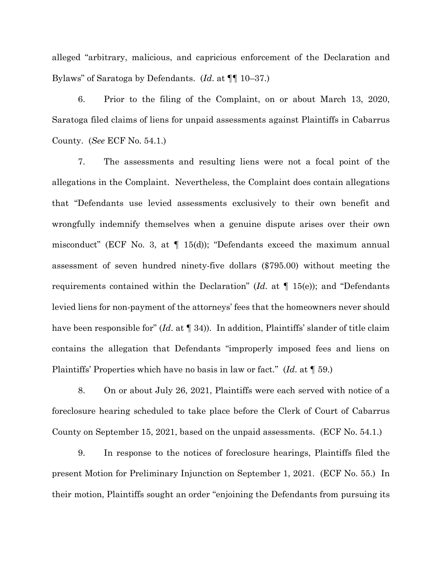alleged "arbitrary, malicious, and capricious enforcement of the Declaration and Bylaws" of Saratoga by Defendants. (*Id*. at ¶¶ 10–37.)

6. Prior to the filing of the Complaint, on or about March 13, 2020, Saratoga filed claims of liens for unpaid assessments against Plaintiffs in Cabarrus County. (*See* ECF No. 54.1.)

7. The assessments and resulting liens were not a focal point of the allegations in the Complaint. Nevertheless, the Complaint does contain allegations that "Defendants use levied assessments exclusively to their own benefit and wrongfully indemnify themselves when a genuine dispute arises over their own misconduct" (ECF No. 3, at  $\P$  15(d)); "Defendants exceed the maximum annual assessment of seven hundred ninety-five dollars (\$795.00) without meeting the requirements contained within the Declaration" (*Id*. at ¶ 15(e)); and "Defendants levied liens for non-payment of the attorneys' fees that the homeowners never should have been responsible for" (*Id.* at  $\P$  34)). In addition, Plaintiffs' slander of title claim contains the allegation that Defendants "improperly imposed fees and liens on Plaintiffs' Properties which have no basis in law or fact." (*Id*. at ¶ 59.)

8. On or about July 26, 2021, Plaintiffs were each served with notice of a foreclosure hearing scheduled to take place before the Clerk of Court of Cabarrus County on September 15, 2021, based on the unpaid assessments. (ECF No. 54.1.)

9. In response to the notices of foreclosure hearings, Plaintiffs filed the present Motion for Preliminary Injunction on September 1, 2021. (ECF No. 55.) In their motion, Plaintiffs sought an order "enjoining the Defendants from pursuing its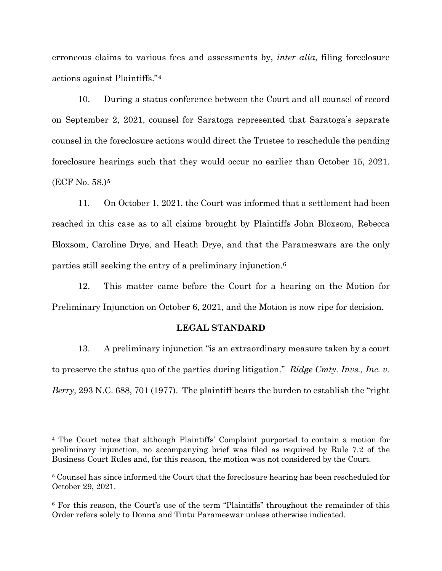erroneous claims to various fees and assessments by, *inter alia*, filing foreclosure actions against Plaintiffs."[4](#page-4-0)

10. During a status conference between the Court and all counsel of record on September 2, 2021, counsel for Saratoga represented that Saratoga's separate counsel in the foreclosure actions would direct the Trustee to reschedule the pending foreclosure hearings such that they would occur no earlier than October 15, 2021. (ECF No. 58.)[5](#page-4-1) 

11. On October 1, 2021, the Court was informed that a settlement had been reached in this case as to all claims brought by Plaintiffs John Bloxsom, Rebecca Bloxsom, Caroline Drye, and Heath Drye, and that the Parameswars are the only parties still seeking the entry of a preliminary injunction.[6](#page-4-2) 

12. This matter came before the Court for a hearing on the Motion for Preliminary Injunction on October 6, 2021, and the Motion is now ripe for decision.

#### **LEGAL STANDARD**

13. A preliminary injunction "is an extraordinary measure taken by a court to preserve the status quo of the parties during litigation." *Ridge Cmty. Invs., Inc. v. Berry*, 293 N.C. 688, 701 (1977). The plaintiff bears the burden to establish the "right

<span id="page-4-0"></span><sup>4</sup> The Court notes that although Plaintiffs' Complaint purported to contain a motion for preliminary injunction, no accompanying brief was filed as required by Rule 7.2 of the Business Court Rules and, for this reason, the motion was not considered by the Court.

<span id="page-4-1"></span><sup>5</sup> Counsel has since informed the Court that the foreclosure hearing has been rescheduled for October 29, 2021.

<span id="page-4-2"></span><sup>6</sup> For this reason, the Court's use of the term "Plaintiffs" throughout the remainder of this Order refers solely to Donna and Tintu Parameswar unless otherwise indicated.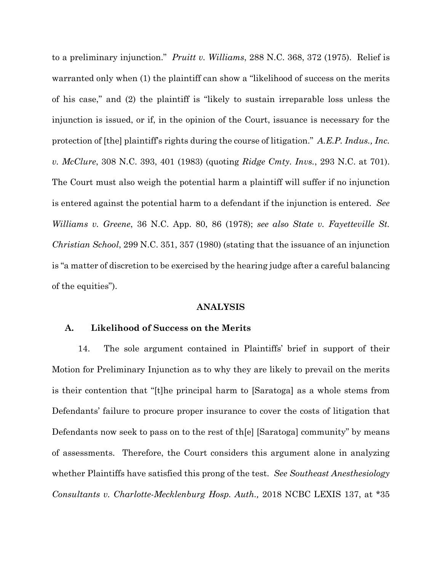to a preliminary injunction." *Pruitt v. Williams*, 288 N.C. 368, 372 (1975). Relief is warranted only when (1) the plaintiff can show a "likelihood of success on the merits of his case," and (2) the plaintiff is "likely to sustain irreparable loss unless the injunction is issued, or if, in the opinion of the Court, issuance is necessary for the protection of [the] plaintiff's rights during the course of litigation." *A.E.P. Indus., Inc. v. McClure*, 308 N.C. 393, 401 (1983) (quoting *Ridge Cmty. Invs.*, 293 N.C. at 701). The Court must also weigh the potential harm a plaintiff will suffer if no injunction is entered against the potential harm to a defendant if the injunction is entered. *See Williams v. Greene*, 36 N.C. App. 80, 86 (1978); *see also State v. Fayetteville St. Christian School*, 299 N.C. 351, 357 (1980) (stating that the issuance of an injunction is "a matter of discretion to be exercised by the hearing judge after a careful balancing of the equities").

# **ANALYSIS**

#### **A. Likelihood of Success on the Merits**

14. The sole argument contained in Plaintiffs' brief in support of their Motion for Preliminary Injunction as to why they are likely to prevail on the merits is their contention that "[t]he principal harm to [Saratoga] as a whole stems from Defendants' failure to procure proper insurance to cover the costs of litigation that Defendants now seek to pass on to the rest of th[e] [Saratoga] community" by means of assessments. Therefore, the Court considers this argument alone in analyzing whether Plaintiffs have satisfied this prong of the test. *See Southeast Anesthesiology Consultants v. Charlotte-Mecklenburg Hosp. Auth.,* 2018 NCBC LEXIS 137, at \*35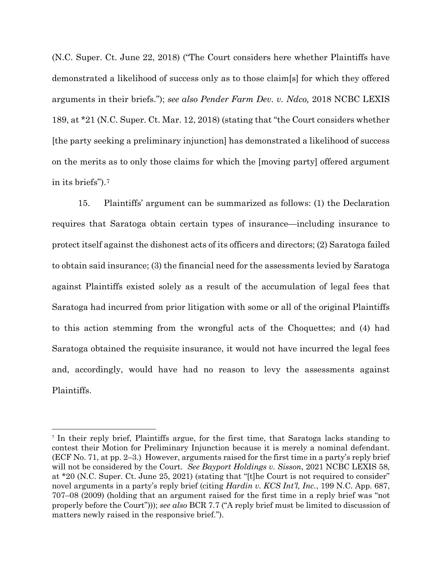(N.C. Super. Ct. June 22, 2018) ("The Court considers here whether Plaintiffs have demonstrated a likelihood of success only as to those claim[s] for which they offered arguments in their briefs."); *see also Pender Farm Dev. v. Ndco,* 2018 NCBC LEXIS 189, at \*21 (N.C. Super. Ct. Mar. 12, 2018) (stating that "the Court considers whether [the party seeking a preliminary injunction] has demonstrated a likelihood of success on the merits as to only those claims for which the [moving party] offered argument in its briefs").[7](#page-6-0)

15. Plaintiffs' argument can be summarized as follows: (1) the Declaration requires that Saratoga obtain certain types of insurance—including insurance to protect itself against the dishonest acts of its officers and directors; (2) Saratoga failed to obtain said insurance; (3) the financial need for the assessments levied by Saratoga against Plaintiffs existed solely as a result of the accumulation of legal fees that Saratoga had incurred from prior litigation with some or all of the original Plaintiffs to this action stemming from the wrongful acts of the Choquettes; and (4) had Saratoga obtained the requisite insurance, it would not have incurred the legal fees and, accordingly, would have had no reason to levy the assessments against Plaintiffs.

<span id="page-6-0"></span><sup>7</sup> In their reply brief, Plaintiffs argue, for the first time, that Saratoga lacks standing to contest their Motion for Preliminary Injunction because it is merely a nominal defendant. (ECF No. 71, at pp. 2–3.) However, arguments raised for the first time in a party's reply brief will not be considered by the Court. *See Bayport Holdings v. Sisson*, 2021 NCBC LEXIS 58, at \*20 (N.C. Super. Ct. June 25, 2021) (stating that "[t]he Court is not required to consider" novel arguments in a party's reply brief (citing *Hardin v. KCS Int'l, Inc.*, 199 N.C. App. 687, 707–08 (2009) (holding that an argument raised for the first time in a reply brief was "not properly before the Court"))); *see also* BCR 7.7 ("A reply brief must be limited to discussion of matters newly raised in the responsive brief.").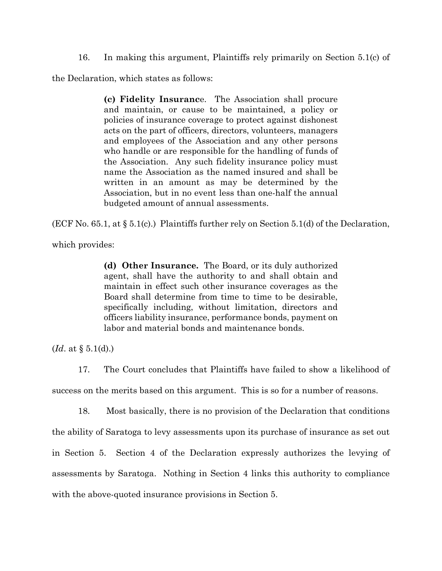16. In making this argument, Plaintiffs rely primarily on Section 5.1(c) of

the Declaration, which states as follows:

**(c) Fidelity Insuranc**e. The Association shall procure and maintain, or cause to be maintained, a policy or policies of insurance coverage to protect against dishonest acts on the part of officers, directors, volunteers, managers and employees of the Association and any other persons who handle or are responsible for the handling of funds of the Association. Any such fidelity insurance policy must name the Association as the named insured and shall be written in an amount as may be determined by the Association, but in no event less than one-half the annual budgeted amount of annual assessments.

(ECF No. 65.1, at § 5.1(c).) Plaintiffs further rely on Section 5.1(d) of the Declaration,

which provides:

**(d) Other Insurance.** The Board, or its duly authorized agent, shall have the authority to and shall obtain and maintain in effect such other insurance coverages as the Board shall determine from time to time to be desirable, specifically including, without limitation, directors and officers liability insurance, performance bonds, payment on labor and material bonds and maintenance bonds.

(*Id*. at § 5.1(d).)

17. The Court concludes that Plaintiffs have failed to show a likelihood of success on the merits based on this argument. This is so for a number of reasons.

18. Most basically, there is no provision of the Declaration that conditions the ability of Saratoga to levy assessments upon its purchase of insurance as set out in Section 5. Section 4 of the Declaration expressly authorizes the levying of assessments by Saratoga. Nothing in Section 4 links this authority to compliance with the above-quoted insurance provisions in Section 5.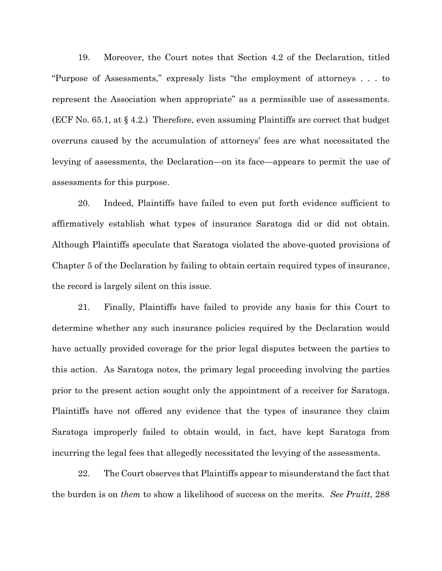19. Moreover, the Court notes that Section 4.2 of the Declaration, titled "Purpose of Assessments," expressly lists "the employment of attorneys . . . to represent the Association when appropriate" as a permissible use of assessments. (ECF No. 65.1, at § 4.2.) Therefore, even assuming Plaintiffs are correct that budget overruns caused by the accumulation of attorneys' fees are what necessitated the levying of assessments, the Declaration—on its face—appears to permit the use of assessments for this purpose.

20. Indeed, Plaintiffs have failed to even put forth evidence sufficient to affirmatively establish what types of insurance Saratoga did or did not obtain. Although Plaintiffs speculate that Saratoga violated the above-quoted provisions of Chapter 5 of the Declaration by failing to obtain certain required types of insurance, the record is largely silent on this issue.

21. Finally, Plaintiffs have failed to provide any basis for this Court to determine whether any such insurance policies required by the Declaration would have actually provided coverage for the prior legal disputes between the parties to this action. As Saratoga notes, the primary legal proceeding involving the parties prior to the present action sought only the appointment of a receiver for Saratoga. Plaintiffs have not offered any evidence that the types of insurance they claim Saratoga improperly failed to obtain would, in fact, have kept Saratoga from incurring the legal fees that allegedly necessitated the levying of the assessments.

22. The Court observes that Plaintiffs appear to misunderstand the fact that the burden is on *them* to show a likelihood of success on the merits. *See Pruitt*, 288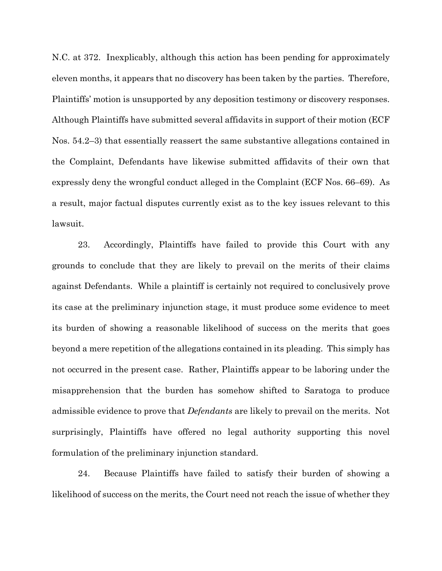N.C. at 372. Inexplicably, although this action has been pending for approximately eleven months, it appears that no discovery has been taken by the parties. Therefore, Plaintiffs' motion is unsupported by any deposition testimony or discovery responses. Although Plaintiffs have submitted several affidavits in support of their motion (ECF Nos. 54.2–3) that essentially reassert the same substantive allegations contained in the Complaint, Defendants have likewise submitted affidavits of their own that expressly deny the wrongful conduct alleged in the Complaint (ECF Nos. 66–69). As a result, major factual disputes currently exist as to the key issues relevant to this lawsuit.

23. Accordingly, Plaintiffs have failed to provide this Court with any grounds to conclude that they are likely to prevail on the merits of their claims against Defendants. While a plaintiff is certainly not required to conclusively prove its case at the preliminary injunction stage, it must produce some evidence to meet its burden of showing a reasonable likelihood of success on the merits that goes beyond a mere repetition of the allegations contained in its pleading. This simply has not occurred in the present case. Rather, Plaintiffs appear to be laboring under the misapprehension that the burden has somehow shifted to Saratoga to produce admissible evidence to prove that *Defendants* are likely to prevail on the merits. Not surprisingly, Plaintiffs have offered no legal authority supporting this novel formulation of the preliminary injunction standard.

24. Because Plaintiffs have failed to satisfy their burden of showing a likelihood of success on the merits, the Court need not reach the issue of whether they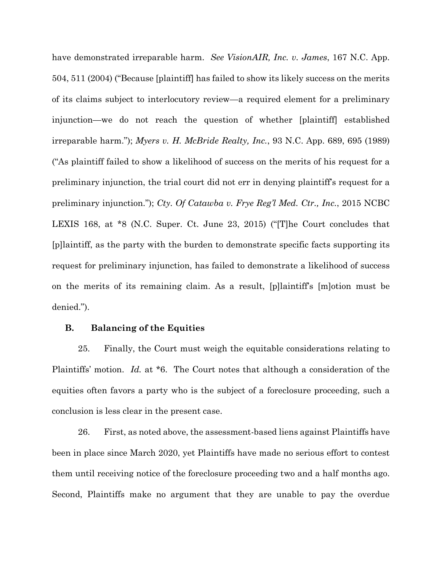have demonstrated irreparable harm. *See VisionAIR, Inc. v. James*, 167 N.C. App. 504, 511 (2004) ("Because [plaintiff] has failed to show its likely success on the merits of its claims subject to interlocutory review—a required element for a preliminary injunction—we do not reach the question of whether [plaintiff] established irreparable harm."); *Myers v. H. McBride Realty, Inc.*, 93 N.C. App. 689, 695 (1989) ("As plaintiff failed to show a likelihood of success on the merits of his request for a preliminary injunction, the trial court did not err in denying plaintiff's request for a preliminary injunction."); *Cty. Of Catawba v. Frye Reg'l Med. Ctr., Inc.*, 2015 NCBC LEXIS 168, at \*8 (N.C. Super. Ct. June 23, 2015) ("[T]he Court concludes that [p]laintiff, as the party with the burden to demonstrate specific facts supporting its request for preliminary injunction, has failed to demonstrate a likelihood of success on the merits of its remaining claim. As a result, [p]laintiff's [m]otion must be denied.").

## **B. Balancing of the Equities**

25. Finally, the Court must weigh the equitable considerations relating to Plaintiffs' motion. *Id.* at \*6. The Court notes that although a consideration of the equities often favors a party who is the subject of a foreclosure proceeding, such a conclusion is less clear in the present case.

26. First, as noted above, the assessment-based liens against Plaintiffs have been in place since March 2020, yet Plaintiffs have made no serious effort to contest them until receiving notice of the foreclosure proceeding two and a half months ago. Second, Plaintiffs make no argument that they are unable to pay the overdue